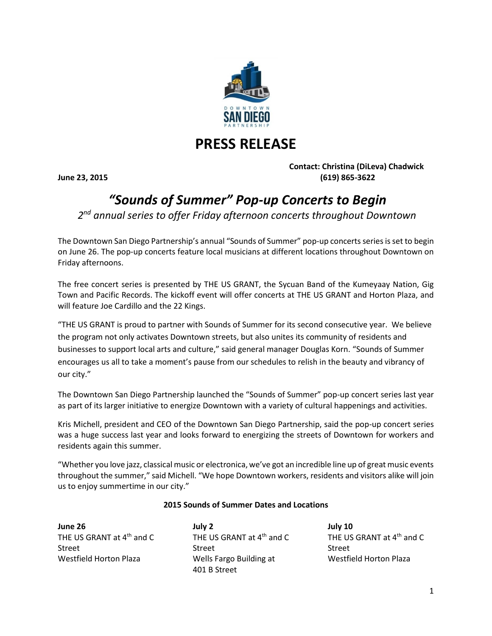

## **PRESS RELEASE**

**Contact: Christina (DiLeva) Chadwick June 23, 2015 (619) 865-3622**

## *"Sounds of Summer" Pop-up Concerts to Begin*

*2 nd annual series to offer Friday afternoon concerts throughout Downtown*

The Downtown San Diego Partnership's annual "Sounds of Summer" pop-up concerts seriesisset to begin on June 26. The pop-up concerts feature local musicians at different locations throughout Downtown on Friday afternoons.

The free concert series is presented by THE US GRANT, the Sycuan Band of the Kumeyaay Nation, Gig Town and Pacific Records. The kickoff event will offer concerts at THE US GRANT and Horton Plaza, and will feature Joe Cardillo and the 22 Kings.

"THE US GRANT is proud to partner with Sounds of Summer for its second consecutive year. We believe the program not only activates Downtown streets, but also unites its community of residents and businesses to support local arts and culture," said general manager Douglas Korn. "Sounds of Summer encourages us all to take a moment's pause from our schedules to relish in the beauty and vibrancy of our city."

The Downtown San Diego Partnership launched the "Sounds of Summer" pop-up concert series last year as part of its larger initiative to energize Downtown with a variety of cultural happenings and activities.

Kris Michell, president and CEO of the Downtown San Diego Partnership, said the pop-up concert series was a huge success last year and looks forward to energizing the streets of Downtown for workers and residents again this summer.

"Whether you love jazz, classical music or electronica, we've got an incredible line up of great music events throughout the summer," said Michell. "We hope Downtown workers, residents and visitors alike will join us to enjoy summertime in our city."

## **2015 Sounds of Summer Dates and Locations**

**June 26** THE US GRANT at  $4<sup>th</sup>$  and C Street Westfield Horton Plaza **July 2** THE US GRANT at 4<sup>th</sup> and C Street Wells Fargo Building at 401 B Street **July 10** THE US GRANT at  $4<sup>th</sup>$  and C Street Westfield Horton Plaza